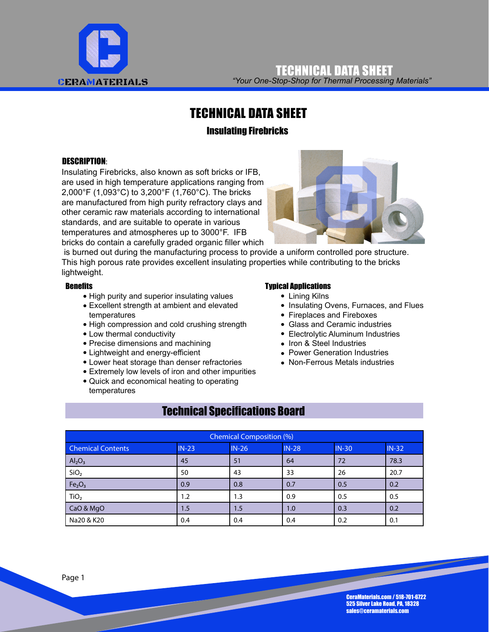

*"Your One-Stop-Shop for Thermal Processing Materials"* TECHNICAL DATA SHEET

## TECHNICAL DATA SHEET

### Insulating Firebricks

#### DESCRIPTION:

Insulating Firebricks, also known as soft bricks or IFB, are used in high temperature applications ranging from 2,000°F (1,093°C) to 3,200°F (1,760°C). The bricks are manufactured from high purity refractory clays and other ceramic raw materials according to international standards, and are suitable to operate in various temperatures and atmospheres up to 3000°F. IFB bricks do contain a carefully graded organic filler which



 is burned out during the manufacturing process to provide a uniform controlled pore structure. This high porous rate provides excellent insulating properties while contributing to the bricks lightweight.

#### **Benefits**

- High purity and superior insulating values
- Excellent strength at ambient and elevated temperatures
- High compression and cold crushing strength
- Low thermal conductivity
- Precise dimensions and machining
- Lightweight and energy-efficient
- Lower heat storage than denser refractories
- Extremely low levels of iron and other impurities
- Quick and economical heating to operating temperatures

#### Typical Applications

- Lining Kilns
- Insulating Ovens, Furnaces, and Flues
- Fireplaces and Fireboxes
- Glass and Ceramic industries
- Electrolytic Aluminum Industries
- Iron & Steel Industries
- Power Generation Industries
- Non-Ferrous Metals industries

## Technical Specifications Board

| <b>Chemical Composition (%)</b> |         |         |         |         |         |  |
|---------------------------------|---------|---------|---------|---------|---------|--|
| <b>Chemical Contents</b>        | $IN-23$ | $IN-26$ | $IN-28$ | $IN-30$ | $IN-32$ |  |
| Al <sub>2</sub> O <sub>3</sub>  | 45      | 51      | 64      | 72      | 78.3    |  |
| SiO <sub>2</sub>                | 50      | 43      | 33      | 26      | 20.7    |  |
| Fe <sub>2</sub> O <sub>3</sub>  | 0.9     | 0.8     | 0.7     | 0.5     | 0.2     |  |
| TiO <sub>2</sub>                | 1.2     | 1.3     | 0.9     | 0.5     | 0.5     |  |
| CaO & MgO                       | 1.5     | 1.5     | 1.0     | 0.3     | 0.2     |  |
| Na20 & K20                      | 0.4     | 0.4     | 0.4     | 0.2     | 0.1     |  |

CeraMaterials.com / 518-701-6722 525 Silver Lake Road, PA, 18328 sales@ceramaterials.com